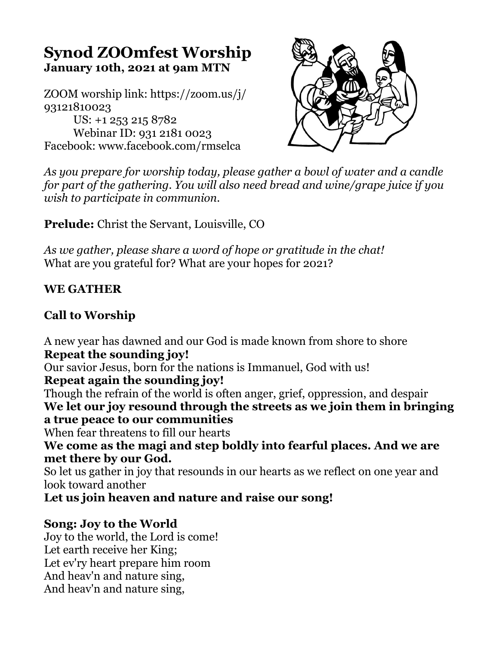# **Synod ZOOmfest Worship January 10th, 2021 at 9am MTN**

ZOOM worship link: https://zoom.us/j/ 93121810023 US: +1 253 215 8782 Webinar ID: 931 2181 0023 Facebook: www.facebook.com/rmselca



*As you prepare for worship today, please gather a bowl of water and a candle for part of the gathering. You will also need bread and wine/grape juice if you wish to participate in communion.* 

**Prelude:** Christ the Servant, Louisville, CO

*As we gather, please share a word of hope or gratitude in the chat!*  What are you grateful for? What are your hopes for 2021?

# **WE GATHER**

# **Call to Worship**

A new year has dawned and our God is made known from shore to shore **Repeat the sounding joy!**  Our savior Jesus, born for the nations is Immanuel, God with us! **Repeat again the sounding joy!**  Though the refrain of the world is often anger, grief, oppression, and despair **We let our joy resound through the streets as we join them in bringing a true peace to our communities**  When fear threatens to fill our hearts **We come as the magi and step boldly into fearful places. And we are met there by our God.** So let us gather in joy that resounds in our hearts as we reflect on one year and look toward another **Let us join heaven and nature and raise our song!** 

## **Song: Joy to the World**

Joy to the world, the Lord is come! Let earth receive her King; Let ev'ry heart prepare him room And heav'n and nature sing, And heav'n and nature sing,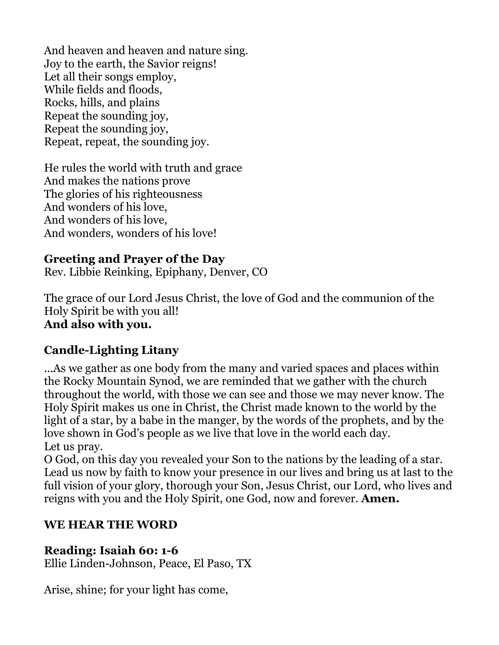And heaven and heaven and nature sing. Joy to the earth, the Savior reigns! Let all their songs employ. While fields and floods, Rocks, hills, and plains Repeat the sounding joy, Repeat the sounding joy, Repeat, repeat, the sounding joy.

He rules the world with truth and grace And makes the nations prove The glories of his righteousness And wonders of his love, And wonders of his love, And wonders, wonders of his love!

#### **Greeting and Prayer of the Day**

Rev. Libbie Reinking, Epiphany, Denver, CO

The grace of our Lord Jesus Christ, the love of God and the communion of the Holy Spirit be with you all! **And also with you.** 

## **Candle-Lighting Litany**

...As we gather as one body from the many and varied spaces and places within the Rocky Mountain Synod, we are reminded that we gather with the church throughout the world, with those we can see and those we may never know. The Holy Spirit makes us one in Christ, the Christ made known to the world by the light of a star, by a babe in the manger, by the words of the prophets, and by the love shown in God's people as we live that love in the world each day. Let us pray.

O God, on this day you revealed your Son to the nations by the leading of a star. Lead us now by faith to know your presence in our lives and bring us at last to the full vision of your glory, thorough your Son, Jesus Christ, our Lord, who lives and reigns with you and the Holy Spirit, one God, now and forever. **Amen.**

#### **WE HEAR THE WORD**

#### **Reading: Isaiah 60: 1-6**

Ellie Linden-Johnson, Peace, El Paso, TX

Arise, shine; for your light has come,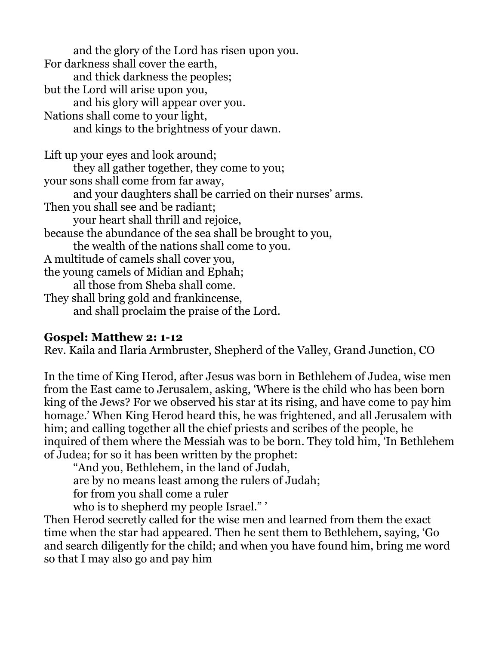and the glory of the Lord has risen upon you. For darkness shall cover the earth, and thick darkness the peoples; but the Lord will arise upon you, and his glory will appear over you. Nations shall come to your light, and kings to the brightness of your dawn. Lift up your eyes and look around; they all gather together, they come to you; your sons shall come from far away, and your daughters shall be carried on their nurses' arms. Then you shall see and be radiant; your heart shall thrill and rejoice, because the abundance of the sea shall be brought to you, the wealth of the nations shall come to you. A multitude of camels shall cover you, the young camels of Midian and Ephah; all those from Sheba shall come. They shall bring gold and frankincense, and shall proclaim the praise of the Lord.

#### **Gospel: Matthew 2: 1-12**

Rev. Kaila and Ilaria Armbruster, Shepherd of the Valley, Grand Junction, CO

In the time of King Herod, after Jesus was born in Bethlehem of Judea, wise men from the East came to Jerusalem, asking, 'Where is the child who has been born king of the Jews? For we observed his star at its rising, and have come to pay him homage.' When King Herod heard this, he was frightened, and all Jerusalem with him; and calling together all the chief priests and scribes of the people, he inquired of them where the Messiah was to be born. They told him, 'In Bethlehem of Judea; for so it has been written by the prophet:

"And you, Bethlehem, in the land of Judah,

are by no means least among the rulers of Judah;

for from you shall come a ruler

who is to shepherd my people Israel."

Then Herod secretly called for the wise men and learned from them the exact time when the star had appeared. Then he sent them to Bethlehem, saying, 'Go and search diligently for the child; and when you have found him, bring me word so that I may also go and pay him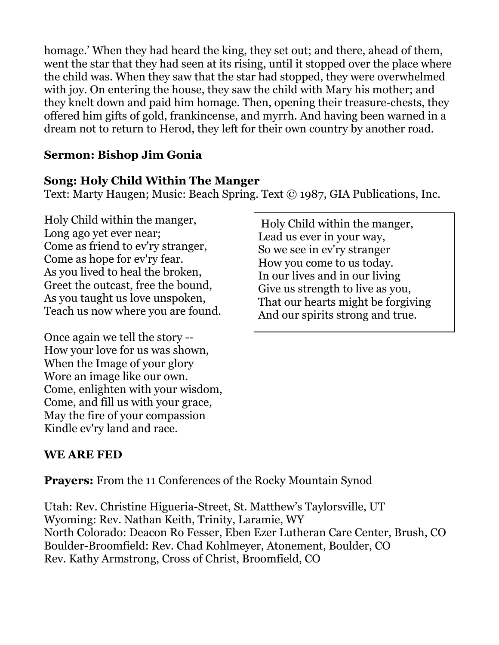homage.' When they had heard the king, they set out; and there, ahead of them, went the star that they had seen at its rising, until it stopped over the place where the child was. When they saw that the star had stopped, they were overwhelmed with joy. On entering the house, they saw the child with Mary his mother; and they knelt down and paid him homage. Then, opening their treasure-chests, they offered him gifts of gold, frankincense, and myrrh. And having been warned in a dream not to return to Herod, they left for their own country by another road.

## **Sermon: Bishop Jim Gonia**

## **Song: Holy Child Within The Manger**

Text: Marty Haugen; Music: Beach Spring. Text © 1987, GIA Publications, Inc.

Holy Child within the manger, Long ago yet ever near; Come as friend to ev'ry stranger, Come as hope for ev'ry fear. As you lived to heal the broken, Greet the outcast, free the bound, As you taught us love unspoken, Teach us now where you are found.

Once again we tell the story -- How your love for us was shown, When the Image of your glory Wore an image like our own. Come, enlighten with your wisdom, Come, and fill us with your grace, May the fire of your compassion Kindle ev'ry land and race.

 Holy Child within the manger, Lead us ever in your way, So we see in ev'ry stranger How you come to us today. In our lives and in our living Give us strength to live as you, That our hearts might be forgiving And our spirits strong and true.

## **WE ARE FED**

**Prayers:** From the 11 Conferences of the Rocky Mountain Synod

Utah: Rev. Christine Higueria-Street, St. Matthew's Taylorsville, UT Wyoming: Rev. Nathan Keith, Trinity, Laramie, WY North Colorado: Deacon Ro Fesser, Eben Ezer Lutheran Care Center, Brush, CO Boulder-Broomfield: Rev. Chad Kohlmeyer, Atonement, Boulder, CO Rev. Kathy Armstrong, Cross of Christ, Broomfield, CO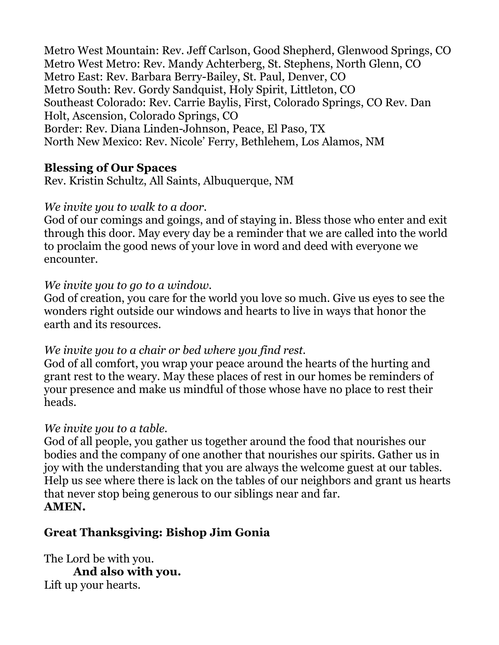Metro West Mountain: Rev. Jeff Carlson, Good Shepherd, Glenwood Springs, CO Metro West Metro: Rev. Mandy Achterberg, St. Stephens, North Glenn, CO Metro East: Rev. Barbara Berry-Bailey, St. Paul, Denver, CO Metro South: Rev. Gordy Sandquist, Holy Spirit, Littleton, CO Southeast Colorado: Rev. Carrie Baylis, First, Colorado Springs, CO Rev. Dan Holt, Ascension, Colorado Springs, CO Border: Rev. Diana Linden-Johnson, Peace, El Paso, TX North New Mexico: Rev. Nicole' Ferry, Bethlehem, Los Alamos, NM

## **Blessing of Our Spaces**

Rev. Kristin Schultz, All Saints, Albuquerque, NM

## *We invite you to walk to a door.*

God of our comings and goings, and of staying in. Bless those who enter and exit through this door. May every day be a reminder that we are called into the world to proclaim the good news of your love in word and deed with everyone we encounter.

#### *We invite you to go to a window.*

God of creation, you care for the world you love so much. Give us eyes to see the wonders right outside our windows and hearts to live in ways that honor the earth and its resources.

## *We invite you to a chair or bed where you find rest.*

God of all comfort, you wrap your peace around the hearts of the hurting and grant rest to the weary. May these places of rest in our homes be reminders of your presence and make us mindful of those whose have no place to rest their heads.

#### *We invite you to a table.*

God of all people, you gather us together around the food that nourishes our bodies and the company of one another that nourishes our spirits. Gather us in joy with the understanding that you are always the welcome guest at our tables. Help us see where there is lack on the tables of our neighbors and grant us hearts that never stop being generous to our siblings near and far. **AMEN.** 

# **Great Thanksgiving: Bishop Jim Gonia**

The Lord be with you.  **And also with you.**  Lift up your hearts.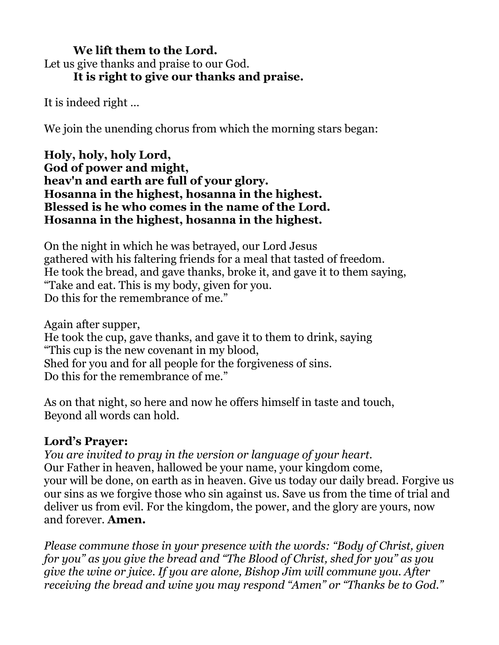#### **We lift them to the Lord.**  Let us give thanks and praise to our God. **It is right to give our thanks and praise.**

It is indeed right …

We join the unending chorus from which the morning stars began:

**Holy, holy, holy Lord, God of power and might, heav'n and earth are full of your glory. Hosanna in the highest, hosanna in the highest. Blessed is he who comes in the name of the Lord. Hosanna in the highest, hosanna in the highest.** 

On the night in which he was betrayed, our Lord Jesus gathered with his faltering friends for a meal that tasted of freedom. He took the bread, and gave thanks, broke it, and gave it to them saying, "Take and eat. This is my body, given for you. Do this for the remembrance of me."

Again after supper, He took the cup, gave thanks, and gave it to them to drink, saying "This cup is the new covenant in my blood, Shed for you and for all people for the forgiveness of sins. Do this for the remembrance of me."

As on that night, so here and now he offers himself in taste and touch, Beyond all words can hold.

## **Lord's Prayer:**

*You are invited to pray in the version or language of your heart.*  Our Father in heaven, hallowed be your name, your kingdom come, your will be done, on earth as in heaven. Give us today our daily bread. Forgive us our sins as we forgive those who sin against us. Save us from the time of trial and deliver us from evil. For the kingdom, the power, and the glory are yours, now and forever. **Amen.** 

*Please commune those in your presence with the words: "Body of Christ, given for you" as you give the bread and "The Blood of Christ, shed for you" as you give the wine or juice. If you are alone, Bishop Jim will commune you. After receiving the bread and wine you may respond "Amen" or "Thanks be to God."*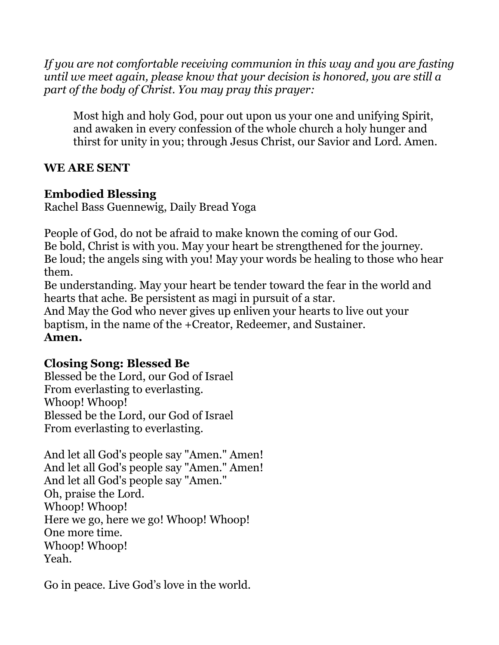*If you are not comfortable receiving communion in this way and you are fasting until we meet again, please know that your decision is honored, you are still a part of the body of Christ. You may pray this prayer:* 

Most high and holy God, pour out upon us your one and unifying Spirit, and awaken in every confession of the whole church a holy hunger and thirst for unity in you; through Jesus Christ, our Savior and Lord. Amen.

#### **WE ARE SENT**

## **Embodied Blessing**

Rachel Bass Guennewig, Daily Bread Yoga

People of God, do not be afraid to make known the coming of our God. Be bold, Christ is with you. May your heart be strengthened for the journey. Be loud; the angels sing with you! May your words be healing to those who hear them.

Be understanding. May your heart be tender toward the fear in the world and hearts that ache. Be persistent as magi in pursuit of a star.

And May the God who never gives up enliven your hearts to live out your baptism, in the name of the +Creator, Redeemer, and Sustainer. **Amen.** 

## **Closing Song: Blessed Be**

Blessed be the Lord, our God of Israel From everlasting to everlasting. Whoop! Whoop! Blessed be the Lord, our God of Israel From everlasting to everlasting.

And let all God's people say "Amen." Amen! And let all God's people say "Amen." Amen! And let all God's people say "Amen." Oh, praise the Lord. Whoop! Whoop! Here we go, here we go! Whoop! Whoop! One more time. Whoop! Whoop! Yeah.

Go in peace. Live God's love in the world.